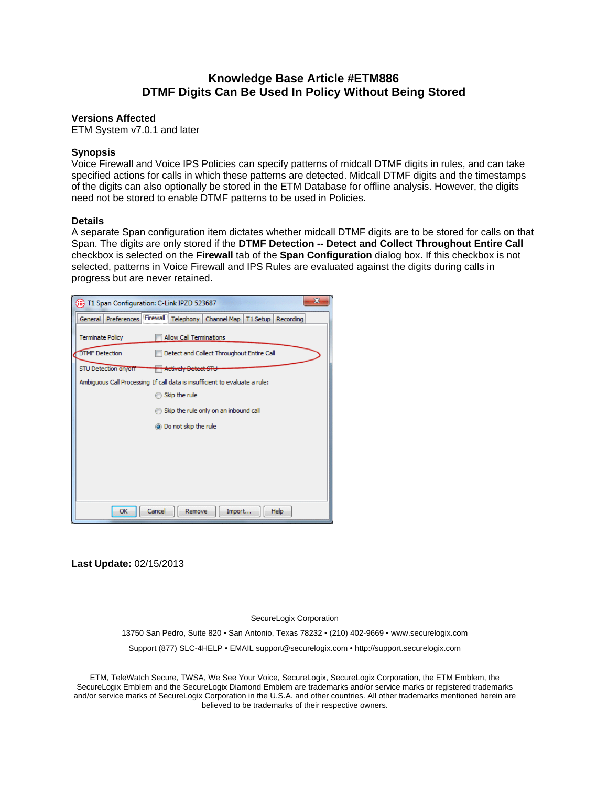## **Knowledge Base Article #ETM886 DTMF Digits Can Be Used In Policy Without Being Stored**

## **Versions Affected**

ETM System v7.0.1 and later

## **Synopsis**

Voice Firewall and Voice IPS Policies can specify patterns of midcall DTMF digits in rules, and can take specified actions for calls in which these patterns are detected. Midcall DTMF digits and the timestamps of the digits can also optionally be stored in the ETM Database for offline analysis. However, the digits need not be stored to enable DTMF patterns to be used in Policies.

## **Details**

A separate Span configuration item dictates whether midcall DTMF digits are to be stored for calls on that Span. The digits are only stored if the **DTMF Detection -- Detect and Collect Throughout Entire Call** checkbox is selected on the **Firewall** tab of the **Span Configuration** dialog box. If this checkbox is not selected, patterns in Voice Firewall and IPS Rules are evaluated against the digits during calls in progress but are never retained.

| T1 Span Configuration: C-Link IPZD 523687                                   | $\mathbf{x}$ |
|-----------------------------------------------------------------------------|--------------|
| General Preferences Firewall Telephony Channel Map<br>T1 Setup<br>Recording |              |
| <b>Allow Call Terminations</b><br><b>Terminate Policy</b>                   |              |
| <b>DTMF Detection</b><br>Detect and Collect Throughout Entire Call          |              |
| STU Detection on/off<br><del>  Actively Detect STL</del>                    |              |
| Ambiguous Call Processing If call data is insufficient to evaluate a rule:  |              |
| Skip the rule                                                               |              |
| Skip the rule only on an inbound call                                       |              |
| is Do not skip the rule                                                     |              |
|                                                                             |              |
|                                                                             |              |
|                                                                             |              |
|                                                                             |              |
|                                                                             |              |
| Import<br>Cancel<br>OK<br>Remove<br>Help                                    |              |

**Last Update:** 02/15/2013

SecureLogix Corporation

13750 San Pedro, Suite 820 • San Antonio, Texas 78232 • (210) 402-9669 • www.securelogix.com

Support (877) SLC-4HELP • EMAIL support@securelogix.com • http://support.securelogix.com

ETM, TeleWatch Secure, TWSA, We See Your Voice, SecureLogix, SecureLogix Corporation, the ETM Emblem, the SecureLogix Emblem and the SecureLogix Diamond Emblem are trademarks and/or service marks or registered trademarks and/or service marks of SecureLogix Corporation in the U.S.A. and other countries. All other trademarks mentioned herein are believed to be trademarks of their respective owners.